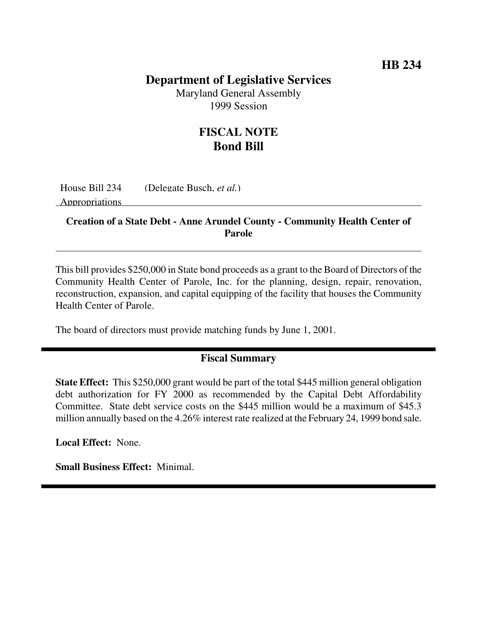## **HB 234**

### **Department of Legislative Services**

Maryland General Assembly 1999 Session

# **FISCAL NOTE Bond Bill**

House Bill 234 (Delegate Busch, *et al.*)

Appropriations

#### **Creation of a State Debt - Anne Arundel County - Community Health Center of Parole**

This bill provides \$250,000 in State bond proceeds as a grant to the Board of Directors of the Community Health Center of Parole, Inc. for the planning, design, repair, renovation, reconstruction, expansion, and capital equipping of the facility that houses the Community Health Center of Parole.

The board of directors must provide matching funds by June 1, 2001.

### **Fiscal Summary**

**State Effect:** This \$250,000 grant would be part of the total \$445 million general obligation debt authorization for FY 2000 as recommended by the Capital Debt Affordability Committee. State debt service costs on the \$445 million would be a maximum of \$45.3 million annually based on the 4.26% interest rate realized at the February 24, 1999 bond sale.

**Local Effect:** None.

**Small Business Effect:** Minimal.